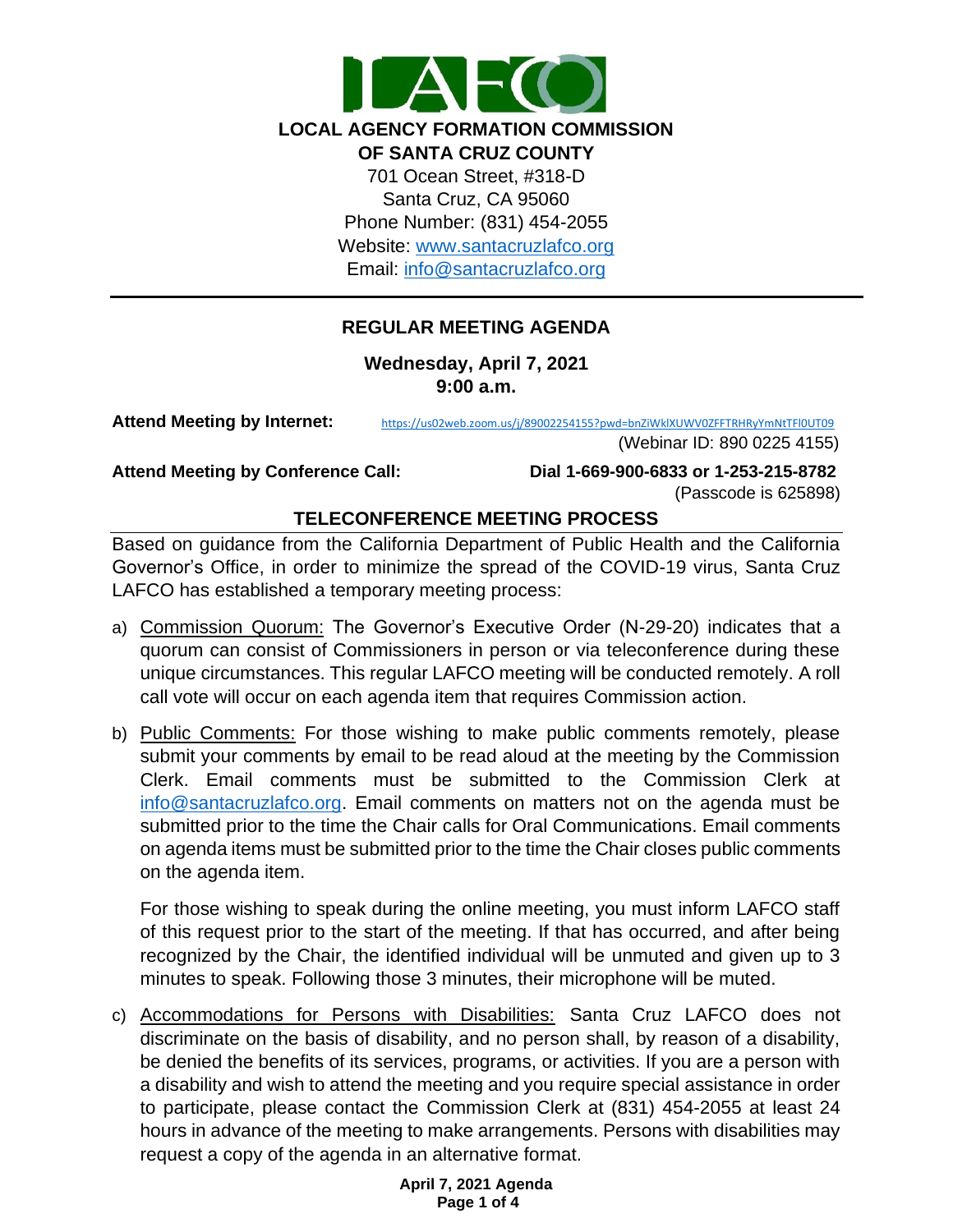

Email: [info@santacruzlafco.org](mailto:info@santacruzlafco.org)

## **REGULAR MEETING AGENDA**

**Wednesday, April 7, 2021 9:00 a.m.**

**Attend Meeting by Internet:** <https://us02web.zoom.us/j/89002254155?pwd=bnZiWklXUWV0ZFFTRHRyYmNtTFl0UT09>

(Webinar ID: 890 0225 4155)

**Attend Meeting by Conference Call: Dial 1-669-900-6833 or 1-253-215-8782**  (Passcode is 625898)

## **TELECONFERENCE MEETING PROCESS**

Based on guidance from the California Department of Public Health and the California Governor's Office, in order to minimize the spread of the COVID-19 virus, Santa Cruz LAFCO has established a temporary meeting process:

- a) Commission Quorum: The Governor's Executive Order (N-29-20) indicates that a quorum can consist of Commissioners in person or via teleconference during these unique circumstances. This regular LAFCO meeting will be conducted remotely. A roll call vote will occur on each agenda item that requires Commission action.
- b) Public Comments: For those wishing to make public comments remotely, please submit your comments by email to be read aloud at the meeting by the Commission Clerk. Email comments must be submitted to the Commission Clerk at [info@santacruzlafco.org.](mailto:info@santacruzlafco.org) Email comments on matters not on the agenda must be submitted prior to the time the Chair calls for Oral Communications. Email comments on agenda items must be submitted prior to the time the Chair closes public comments on the agenda item.

For those wishing to speak during the online meeting, you must inform LAFCO staff of this request prior to the start of the meeting. If that has occurred, and after being recognized by the Chair, the identified individual will be unmuted and given up to 3 minutes to speak. Following those 3 minutes, their microphone will be muted.

c) Accommodations for Persons with Disabilities: Santa Cruz LAFCO does not discriminate on the basis of disability, and no person shall, by reason of a disability, be denied the benefits of its services, programs, or activities. If you are a person with a disability and wish to attend the meeting and you require special assistance in order to participate, please contact the Commission Clerk at (831) 454-2055 at least 24 hours in advance of the meeting to make arrangements. Persons with disabilities may request a copy of the agenda in an alternative format.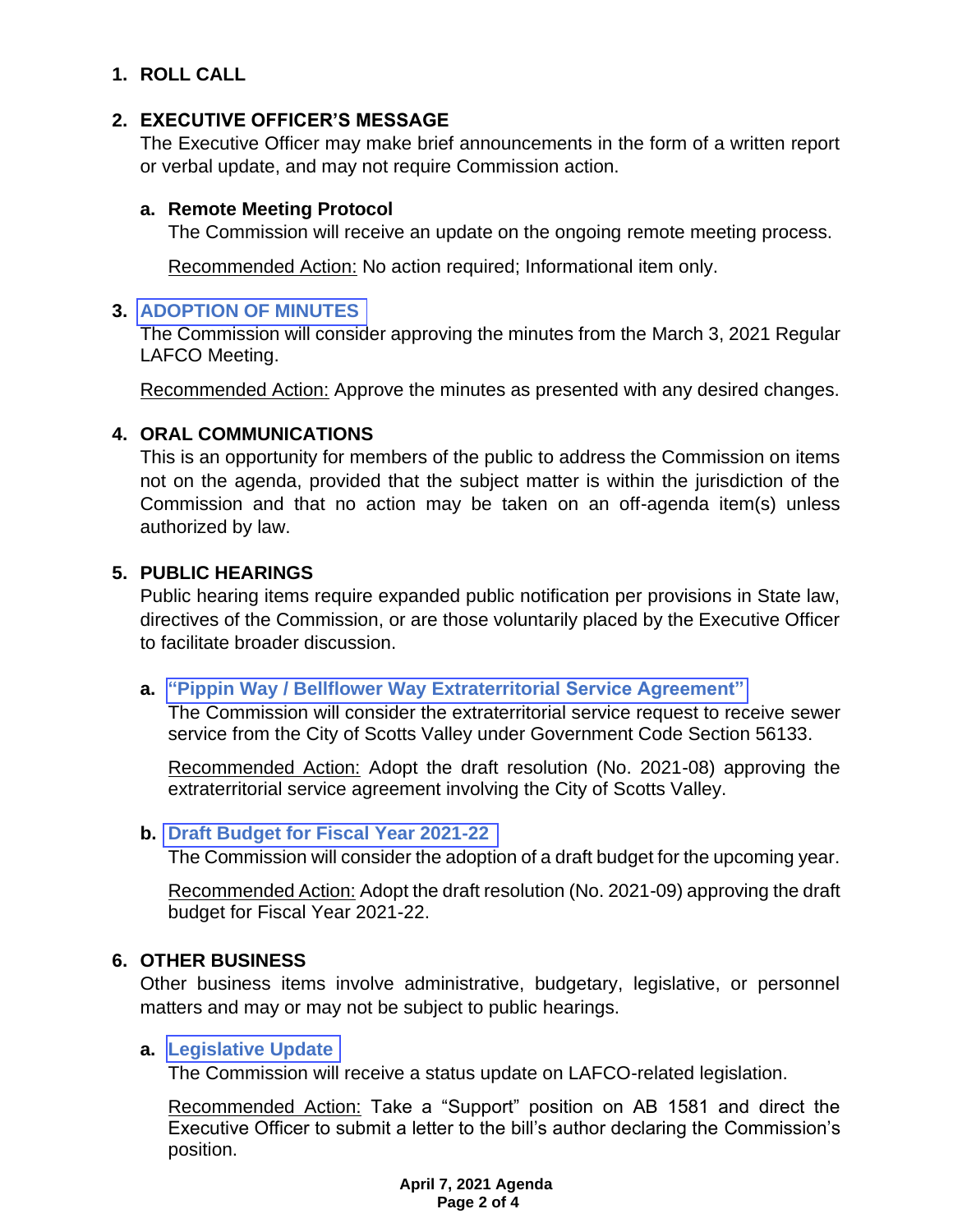# **1. ROLL CALL**

# **2. EXECUTIVE OFFICER'S MESSAGE**

The Executive Officer may make brief announcements in the form of a written report or verbal update, and may not require Commission action.

## **a. Remote Meeting Protocol**

The Commission will receive an update on the ongoing remote meeting process.

Recommended Action: No action required; Informational item only.

## **3. [ADOPTION OF MINUTES](https://www.santacruzlafco.org/wp-content/uploads/2021/04/3.0-Draft-Minutes-March-LAFCO-Meeting.pdf)**

The Commission will consider approving the minutes from the March 3, 2021 Regular LAFCO Meeting.

Recommended Action: Approve the minutes as presented with any desired changes.

# **4. ORAL COMMUNICATIONS**

This is an opportunity for members of the public to address the Commission on items not on the agenda, provided that the subject matter is within the jurisdiction of the Commission and that no action may be taken on an off-agenda item(s) unless authorized by law.

# **5. PUBLIC HEARINGS**

Public hearing items require expanded public notification per provisions in State law, directives of the Commission, or are those voluntarily placed by the Executive Officer to facilitate broader discussion.

# **a. "Pippin Way / Bellflower Way [Extraterritorial Service Agreement"](https://www.santacruzlafco.org/wp-content/uploads/2021/03/5a.0-ESA-21-06-Scotts-Valley-Staff-Report_3.pdf)**

The Commission will consider the extraterritorial service request to receive sewer service from the City of Scotts Valley under Government Code Section 56133.

Recommended Action: Adopt the draft resolution (No. 2021-08) approving the extraterritorial service agreement involving the City of Scotts Valley.

### **b. [Draft Budget for Fiscal Year 2021-22](https://www.santacruzlafco.org/wp-content/uploads/2021/03/5b.0-Draft-Budget-Staff-Report.pdf)**

The Commission will consider the adoption of a draft budget for the upcoming year.

Recommended Action: Adopt the draft resolution (No. 2021-09) approving the draft budget for Fiscal Year 2021-22.

# **6. OTHER BUSINESS**

Other business items involve administrative, budgetary, legislative, or personnel matters and may or may not be subject to public hearings.

# **a. [Legislative Update](https://www.santacruzlafco.org/wp-content/uploads/2021/03/6a.0-Leg-Update-Staff-Report.pdf)**

The Commission will receive a status update on LAFCO-related legislation.

Recommended Action: Take a "Support" position on AB 1581 and direct the Executive Officer to submit a letter to the bill's author declaring the Commission's position.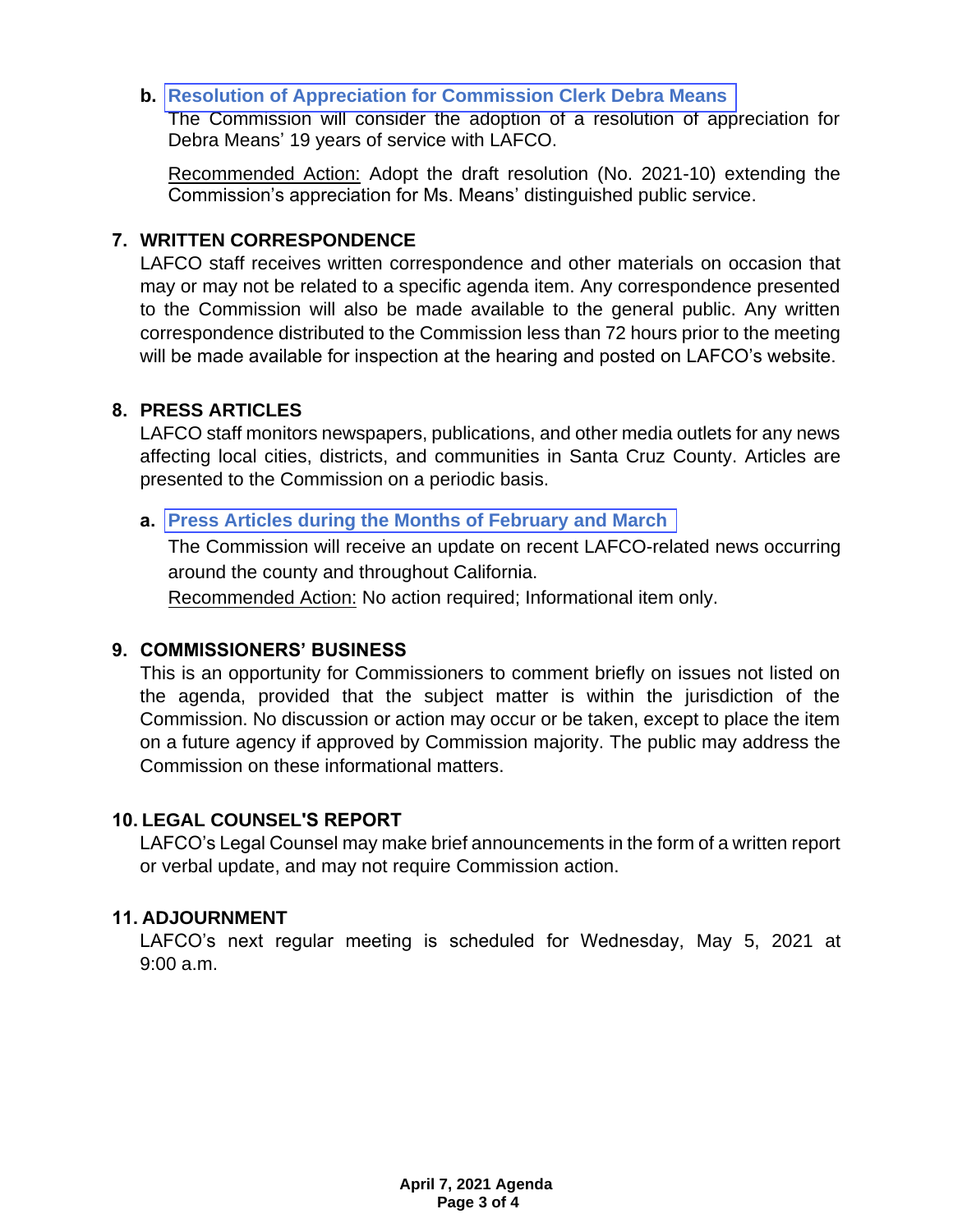## **b. [Resolution of Appreciation for Commission Clerk Debra Means](https://www.santacruzlafco.org/wp-content/uploads/2021/03/6b.0-Debra-Means-Staff-Report.pdf)**

The Commission will consider the adoption of a resolution of appreciation for Debra Means' 19 years of service with LAFCO.

Recommended Action: Adopt the draft resolution (No. 2021-10) extending the Commission's appreciation for Ms. Means' distinguished public service.

### **7. WRITTEN CORRESPONDENCE**

LAFCO staff receives written correspondence and other materials on occasion that may or may not be related to a specific agenda item. Any correspondence presented to the Commission will also be made available to the general public. Any written correspondence distributed to the Commission less than 72 hours prior to the meeting will be made available for inspection at the hearing and posted on LAFCO's website.

## **8. PRESS ARTICLES**

LAFCO staff monitors newspapers, publications, and other media outlets for any news affecting local cities, districts, and communities in Santa Cruz County. Articles are presented to the Commission on a periodic basis.

## **a. [Press Articles during the Months of February and March](https://www.santacruzlafco.org/wp-content/uploads/2021/03/8a.0-Press-Articles-Staff-Report.pdf)**

The Commission will receive an update on recent LAFCO-related news occurring around the county and throughout California.

Recommended Action: No action required; Informational item only.

# **9. COMMISSIONERS' BUSINESS**

This is an opportunity for Commissioners to comment briefly on issues not listed on the agenda, provided that the subject matter is within the jurisdiction of the Commission. No discussion or action may occur or be taken, except to place the item on a future agency if approved by Commission majority. The public may address the Commission on these informational matters.

# **10. LEGAL COUNSEL'S REPORT**

LAFCO's Legal Counsel may make brief announcements in the form of a written report or verbal update, and may not require Commission action.

# **11. ADJOURNMENT**

LAFCO's next regular meeting is scheduled for Wednesday, May 5, 2021 at 9:00 a.m.